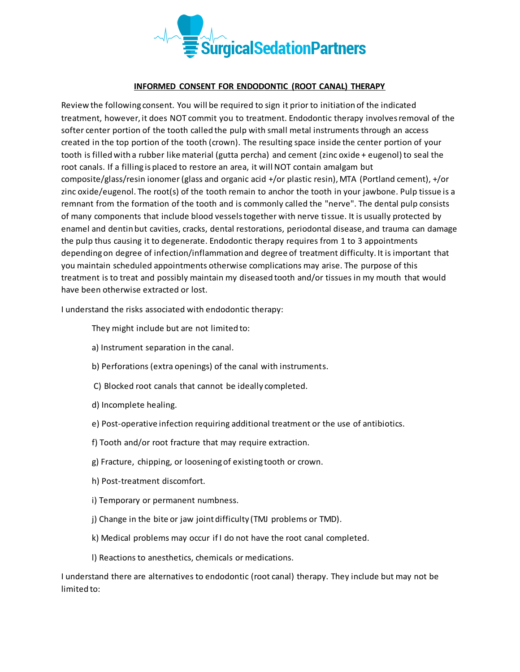

## **INFORMED CONSENT FOR ENDODONTIC (ROOT CANAL) THERAPY**

Review the following consent. You will be required to sign it prior to initiation of the indicated treatment, however, it does NOT commit you to treatment. Endodontic therapy involves removal of the softer center portion of the tooth called the pulp with small metal instruments through an access created in the top portion of the tooth (crown). The resulting space inside the center portion of your tooth is filled with a rubber like material (gutta percha) and cement (zinc oxide + eugenol) to seal the root canals. If a filling is placed to restore an area, it will NOT contain amalgam but composite/glass/resin ionomer (glass and organic acid +/or plastic resin), MTA (Portland cement), +/or zinc oxide/eugenol. The root(s) of the tooth remain to anchor the tooth in your jawbone. Pulp tissue is a remnant from the formation of the tooth and is commonly called the "nerve". The dental pulp consists of many components that include blood vessels together with nerve tissue. It is usually protected by enamel and dentin but cavities, cracks, dental restorations, periodontal disease, and trauma can damage the pulp thus causing it to degenerate. Endodontic therapy requires from 1 to 3 appointments depending on degree of infection/inflammation and degree of treatment difficulty. It is important that you maintain scheduled appointments otherwise complications may arise. The purpose of this treatment is to treat and possibly maintain my diseased tooth and/or tissues in my mouth that would have been otherwise extracted or lost.

I understand the risks associated with endodontic therapy:

They might include but are not limited to:

- a) Instrument separation in the canal.
- b) Perforations (extra openings) of the canal with instruments.
- C) Blocked root canals that cannot be ideally completed.
- d) Incomplete healing.
- e) Post-operative infection requiring additional treatment or the use of antibiotics.
- f) Tooth and/or root fracture that may require extraction.
- g) Fracture, chipping, or loosening of existing tooth or crown.
- h) Post-treatment discomfort.
- i) Temporary or permanent numbness.
- j) Change in the bite or jaw joint difficulty (TMJ problems or TMD).
- k) Medical problems may occur if I do not have the root canal completed.
- l) Reactions to anesthetics, chemicals or medications.

I understand there are alternatives to endodontic (root canal) therapy. They include but may not be limited to: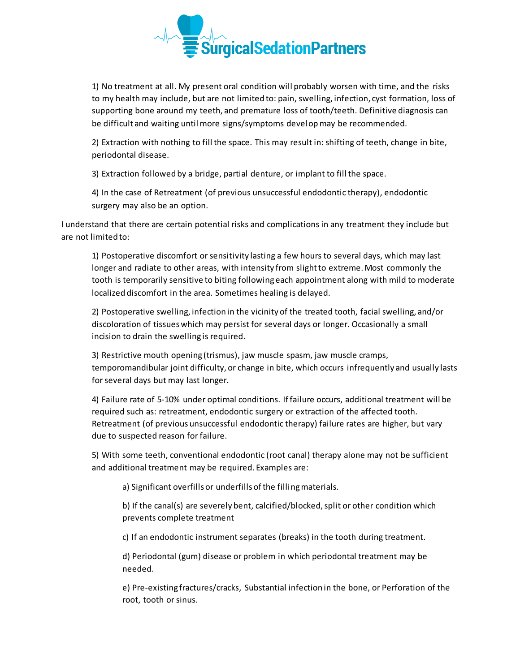

1) No treatment at all. My present oral condition will probably worsen with time, and the risks to my health may include, but are not limited to: pain, swelling, infection, cyst formation, loss of supporting bone around my teeth, and premature loss of tooth/teeth. Definitive diagnosis can be difficult and waiting until more signs/symptoms develop may be recommended.

2) Extraction with nothing to fill the space. This may result in: shifting of teeth, change in bite, periodontal disease.

3) Extraction followed by a bridge, partial denture, or implant to fill the space.

4) In the case of Retreatment (of previous unsuccessful endodontic therapy), endodontic surgery may also be an option.

I understand that there are certain potential risks and complications in any treatment they include but are not limited to:

1) Postoperative discomfort or sensitivity lasting a few hours to several days, which may last longer and radiate to other areas, with intensity from slight to extreme. Most commonly the tooth is temporarily sensitive to biting following each appointment along with mild to moderate localized discomfort in the area. Sometimes healing is delayed.

2) Postoperative swelling, infection in the vicinity of the treated tooth, facial swelling, and/or discoloration of tissues which may persist for several days or longer. Occasionally a small incision to drain the swelling is required.

3) Restrictive mouth opening (trismus), jaw muscle spasm, jaw muscle cramps, temporomandibular joint difficulty, or change in bite, which occurs infrequently and usually lasts for several days but may last longer.

4) Failure rate of 5-10% under optimal conditions. If failure occurs, additional treatment will be required such as: retreatment, endodontic surgery or extraction of the affected tooth. Retreatment (of previous unsuccessful endodontic therapy) failure rates are higher, but vary due to suspected reason for failure.

5) With some teeth, conventional endodontic (root canal) therapy alone may not be sufficient and additional treatment may be required. Examples are:

a) Significant overfills or underfills of the filling materials.

b) If the canal(s) are severely bent, calcified/blocked, split or other condition which prevents complete treatment

c) If an endodontic instrument separates (breaks) in the tooth during treatment.

d) Periodontal (gum) disease or problem in which periodontal treatment may be needed.

e) Pre-existing fractures/cracks, Substantial infection in the bone, or Perforation of the root, tooth or sinus.